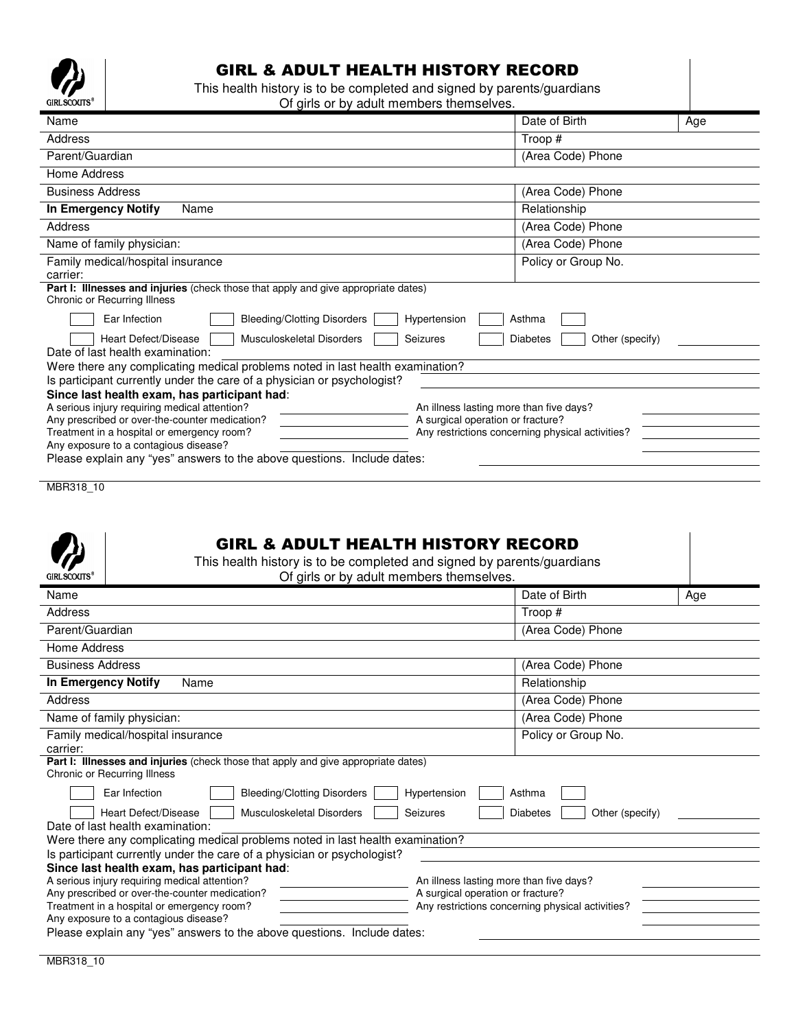

## GIRL & ADULT HEALTH HISTORY RECORD

This health history is to be completed and signed by parents/guardians Of girls or by adult members themselves.

| Name                                                                                                                                                                                  | Date of Birth       | Age |  |
|---------------------------------------------------------------------------------------------------------------------------------------------------------------------------------------|---------------------|-----|--|
| Address                                                                                                                                                                               | Troop #             |     |  |
| Parent/Guardian                                                                                                                                                                       | (Area Code) Phone   |     |  |
| Home Address                                                                                                                                                                          |                     |     |  |
| <b>Business Address</b>                                                                                                                                                               | (Area Code) Phone   |     |  |
| <b>In Emergency Notify</b><br>Name                                                                                                                                                    | Relationship        |     |  |
| Address                                                                                                                                                                               | (Area Code) Phone   |     |  |
| Name of family physician:                                                                                                                                                             | (Area Code) Phone   |     |  |
| Family medical/hospital insurance<br>carrier:                                                                                                                                         | Policy or Group No. |     |  |
| Part I: Illnesses and injuries (check those that apply and give appropriate dates)<br><b>Chronic or Recurring Illness</b>                                                             |                     |     |  |
| Hypertension<br>Ear Infection<br><b>Bleeding/Clotting Disorders</b><br>Asthma                                                                                                         |                     |     |  |
| Heart Defect/Disease<br>Musculoskeletal Disorders<br>Seizures<br><b>Diabetes</b><br>Other (specify)                                                                                   |                     |     |  |
| Date of last health examination:                                                                                                                                                      |                     |     |  |
| Were there any complicating medical problems noted in last health examination?                                                                                                        |                     |     |  |
| Is participant currently under the care of a physician or psychologist?                                                                                                               |                     |     |  |
| Since last health exam, has participant had:                                                                                                                                          |                     |     |  |
| A serious injury requiring medical attention?<br>An illness lasting more than five days?                                                                                              |                     |     |  |
| A surgical operation or fracture?<br>Any prescribed or over-the-counter medication?<br>Any restrictions concerning physical activities?<br>Treatment in a hospital or emergency room? |                     |     |  |
| Any exposure to a contagious disease?                                                                                                                                                 |                     |     |  |
| Please explain any "yes" answers to the above questions. Include dates:                                                                                                               |                     |     |  |
|                                                                                                                                                                                       |                     |     |  |

MBR318\_10

| <b>GIRL &amp; ADULT HEALTH HISTORY RECORD</b><br>This health history is to be completed and signed by parents/guardians                    |                                                                                       |                     |     |  |
|--------------------------------------------------------------------------------------------------------------------------------------------|---------------------------------------------------------------------------------------|---------------------|-----|--|
| <b>GIRL SCOUTS</b><br>Of girls or by adult members themselves.                                                                             |                                                                                       |                     |     |  |
| Name                                                                                                                                       |                                                                                       | Date of Birth       | Age |  |
| Address                                                                                                                                    |                                                                                       | Troop #             |     |  |
| Parent/Guardian                                                                                                                            |                                                                                       | (Area Code) Phone   |     |  |
| Home Address                                                                                                                               |                                                                                       |                     |     |  |
| <b>Business Address</b>                                                                                                                    |                                                                                       | (Area Code) Phone   |     |  |
| <b>In Emergency Notify</b><br>Name                                                                                                         |                                                                                       | Relationship        |     |  |
| (Area Code) Phone<br>Address                                                                                                               |                                                                                       |                     |     |  |
| (Area Code) Phone<br>Name of family physician:                                                                                             |                                                                                       |                     |     |  |
| Family medical/hospital insurance                                                                                                          |                                                                                       | Policy or Group No. |     |  |
| carrier:                                                                                                                                   |                                                                                       |                     |     |  |
| Part I: Illnesses and injuries (check those that apply and give appropriate dates)<br><b>Chronic or Recurring Illness</b>                  |                                                                                       |                     |     |  |
| <b>Bleeding/Clotting Disorders</b><br>Hypertension<br>Ear Infection<br>Asthma                                                              |                                                                                       |                     |     |  |
| Heart Defect/Disease<br><b>Musculoskeletal Disorders</b><br>Seizures<br>Other (specify)<br><b>Diabetes</b>                                 |                                                                                       |                     |     |  |
| Date of last health examination:                                                                                                           |                                                                                       |                     |     |  |
| Were there any complicating medical problems noted in last health examination?                                                             |                                                                                       |                     |     |  |
| Is participant currently under the care of a physician or psychologist?                                                                    |                                                                                       |                     |     |  |
| Since last health exam, has participant had:                                                                                               |                                                                                       |                     |     |  |
| A serious injury requiring medical attention?<br>An illness lasting more than five days?<br>Any prescribed or over-the-counter medication? |                                                                                       |                     |     |  |
| Treatment in a hospital or emergency room?                                                                                                 | A surgical operation or fracture?<br>Any restrictions concerning physical activities? |                     |     |  |
| Any exposure to a contagious disease?                                                                                                      |                                                                                       |                     |     |  |
| Please explain any "yes" answers to the above questions. Include dates:                                                                    |                                                                                       |                     |     |  |
|                                                                                                                                            |                                                                                       |                     |     |  |